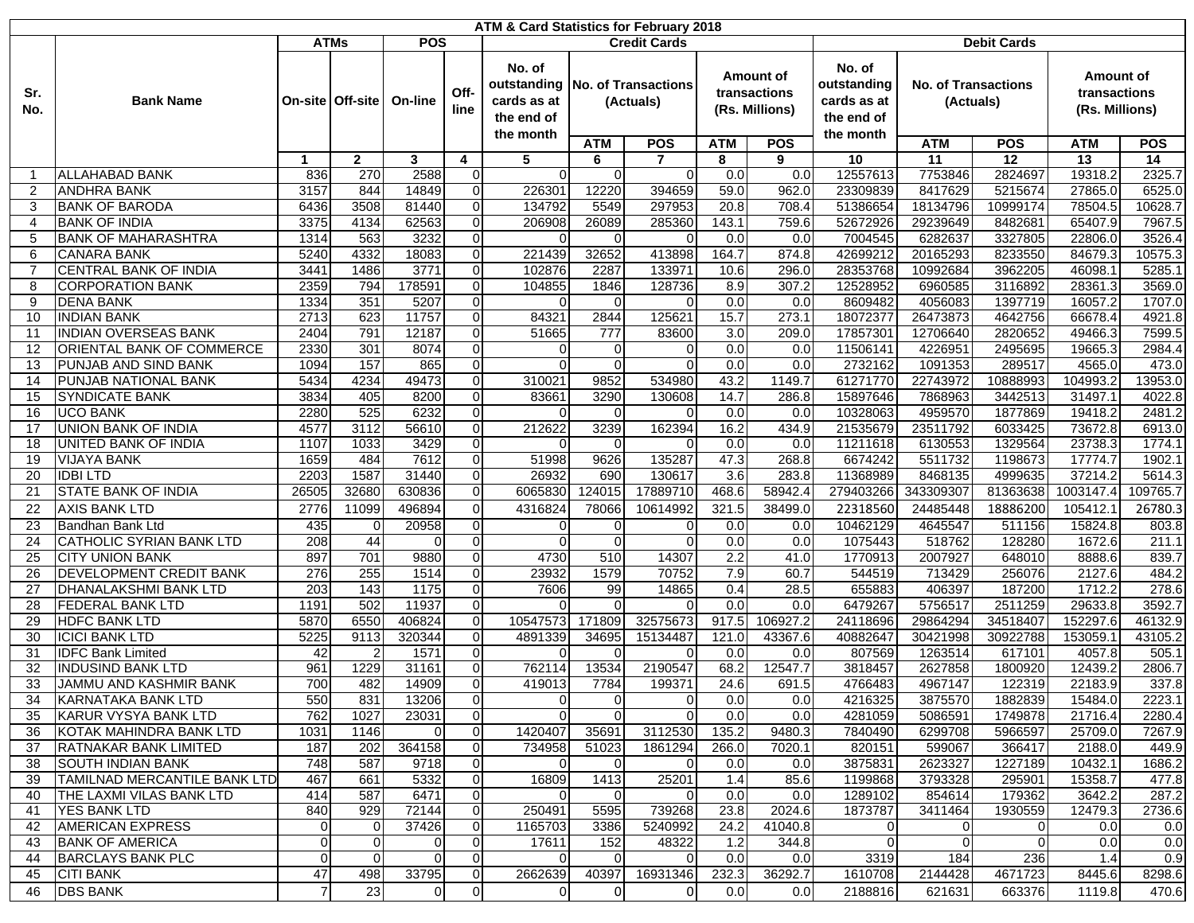| ATM & Card Statistics for February 2018 |                                                   |                           |                    |                |                                  |                                                    |                                  |                            |                                             |                  |                                                    |                                         |                    |                                             |                  |  |
|-----------------------------------------|---------------------------------------------------|---------------------------|--------------------|----------------|----------------------------------|----------------------------------------------------|----------------------------------|----------------------------|---------------------------------------------|------------------|----------------------------------------------------|-----------------------------------------|--------------------|---------------------------------------------|------------------|--|
|                                         |                                                   | <b>ATMs</b><br><b>POS</b> |                    |                |                                  |                                                    |                                  | <b>Credit Cards</b>        |                                             |                  | <b>Debit Cards</b>                                 |                                         |                    |                                             |                  |  |
| Sr.<br>No.                              | <b>Bank Name</b>                                  |                           | On-site   Off-site | On-line        | Off-<br>line                     | No. of<br>outstanding<br>cards as at<br>the end of | No. of Transactions<br>(Actuals) |                            | Amount of<br>transactions<br>(Rs. Millions) |                  | No. of<br>outstanding<br>cards as at<br>the end of | <b>No. of Transactions</b><br>(Actuals) |                    | Amount of<br>transactions<br>(Rs. Millions) |                  |  |
|                                         |                                                   |                           |                    |                |                                  | the month                                          | <b>ATM</b>                       | <b>POS</b>                 | <b>ATM</b>                                  | <b>POS</b>       | the month                                          | <b>ATM</b>                              | <b>POS</b>         | <b>ATM</b>                                  | <b>POS</b>       |  |
|                                         |                                                   | $\blacktriangleleft$      | $\mathbf{2}$       | $\mathbf{3}$   | 4                                | 5                                                  | 6                                | $\overline{7}$             | 8                                           | 9                | 10                                                 | 11                                      | 12                 | 13                                          | 14               |  |
|                                         | <b>ALLAHABAD BANK</b>                             | 836                       | 270                | 2588           | 0                                | $\Omega$                                           | $\Omega$                         | $\Omega$                   | 0.0                                         | 0.0              | 12557613                                           | 7753846                                 | 2824697            | 19318.2                                     | 2325.7           |  |
| 2                                       | <b>ANDHRA BANK</b>                                | 3157                      | 844                | 14849          | 0                                | 226301                                             | 12220                            | 394659                     | 59.0                                        | 962.0            | 23309839                                           | 8417629                                 | 5215674            | 27865.0                                     | 6525.0           |  |
| 3                                       | <b>BANK OF BARODA</b>                             | 6436                      | 3508               | 81440          | 0                                | 134792                                             | 5549                             | 297953                     | 20.8                                        | 708.4            | 51386654                                           | 18134796                                | 10999174           | 78504.5                                     | 10628.7          |  |
| 4                                       | <b>BANK OF INDIA</b>                              | 3375                      | 4134               | 62563          | $\mathbf 0$                      | 206908                                             | 26089                            | 285360                     | 143.1                                       | 759.6            | 52672926                                           | 29239649                                | 8482681            | 65407.9                                     | 7967.5           |  |
| 5                                       | <b>BANK OF MAHARASHTRA</b>                        | 1314                      | 563                | 3232           | 0                                |                                                    | $\Omega$                         | $\Omega$                   | 0.0                                         | 0.0              | 7004545                                            | 6282637                                 | 3327805            | 22806.0                                     | 3526.4           |  |
| 6                                       | <b>CANARA BANK</b>                                | 5240                      | 4332               | 18083          | $\mathbf 0$                      | 221439                                             | 32652                            | 413898                     | 164.7                                       | 874.8            | 42699212                                           | 20165293                                | 8233550            | 84679.3                                     | 10575.3          |  |
| 7                                       | CENTRAL BANK OF INDIA                             | 3441                      | 1486               | 3771           | $\mathbf 0$                      | 102876                                             | 2287                             | 133971                     | 10.6                                        | 296.0            | 28353768                                           | 10992684                                | 3962205            | 46098.                                      | 5285.1           |  |
| 8                                       | <b>CORPORATION BANK</b>                           | 2359                      | 794                | 178591         | $\mathbf 0$                      | 104855                                             | 1846                             | 128736                     | 8.9                                         | 307.2            | 12528952                                           | 6960585                                 | 3116892            | 28361.3                                     | 3569.0           |  |
| 9                                       | <b>DENA BANK</b>                                  | 1334                      | 351                | 5207           | 0                                |                                                    |                                  | O                          | 0.0                                         | 0.0              | 8609482                                            | 4056083                                 | 1397719            | 16057.2                                     | 1707.0           |  |
| 10<br>11                                | <b>INDIAN BANK</b><br><b>INDIAN OVERSEAS BANK</b> | 2713<br>2404              | 623<br>791         | 11757<br>12187 | $\mathbf 0$<br>$\Omega$          | 84321<br>51665                                     | 2844<br>777                      | 125621<br>83600            | 15.7<br>3.0                                 | 273.1<br>209.0   | 18072377<br>1785730                                | 26473873<br>12706640                    | 4642756<br>2820652 | 66678.4<br>49466.3                          | 4921.8<br>7599.5 |  |
| 12                                      | <b>ORIENTAL BANK OF COMMERCE</b>                  | 2330                      | 301                | 8074           | $\mathbf 0$                      | $\Omega$                                           | 0                                | $\Omega$                   | 0.0                                         | 0.0              | 11506141                                           | 4226951                                 | 2495695            | 19665.3                                     | 2984.4           |  |
| 13                                      | PUNJAB AND SIND BANK                              | 1094                      | 157                | 865            | 0                                | $\Omega$                                           | $\Omega$                         | $\Omega$                   | 0.0                                         | 0.0              | 2732162                                            | 1091353                                 | 289517             | 4565.0                                      | 473.0            |  |
| 14                                      | PUNJAB NATIONAL BANK                              | 5434                      | 4234               | 49473          | $\mathbf 0$                      | 310021                                             | 9852                             | 534980                     | 43.2                                        | 1149.7           | 61271770                                           | 22743972                                | 10888993           | 104993.2                                    | 13953.0          |  |
| 15                                      | <b>SYNDICATE BANK</b>                             | 3834                      | 405                | 8200           | $\mathbf 0$                      | 83661                                              | 3290                             | 130608                     | 14.7                                        | 286.8            | 15897646                                           | 7868963                                 | 3442513            | 31497.1                                     | 4022.8           |  |
| 16                                      | <b>UCO BANK</b>                                   | 2280                      | 525                | 6232           | $\mathbf 0$                      | O                                                  | 0                                | $\Omega$                   | 0.0                                         | 0.0              | 10328063                                           | 4959570                                 | 1877869            | 19418.2                                     | 2481.2           |  |
| 17                                      | <b>UNION BANK OF INDIA</b>                        | 4577                      | 3112               | 56610          | $\mathbf 0$                      | 212622                                             | 3239                             | 162394                     | 16.2                                        | 434.9            | 21535679                                           | 23511792                                | 6033425            | 73672.8                                     | 6913.0           |  |
| 18                                      | UNITED BANK OF INDIA                              | 1107                      | 1033               | 3429           | $\mathbf 0$                      | U                                                  | $\Omega$                         | $\Omega$                   | 0.0                                         | 0.0              | 11211618                                           | 6130553                                 | 1329564            | 23738.3                                     | 1774.1           |  |
| 19                                      | <b>VIJAYA BANK</b>                                | 1659                      | 484                | 7612           | $\mathbf 0$                      | 51998                                              | 9626                             | 135287                     | 47.3                                        | 268.8            | 6674242                                            | 5511732                                 | 1198673            | 17774.7                                     | 1902.1           |  |
| 20                                      | <b>IDBILTD</b>                                    | 2203                      | 1587               | 31440          | $\mathbf 0$                      | 26932                                              | 690                              | 130617                     | 3.6                                         | 283.8            | 11368989                                           | 8468135                                 | 4999635            | 37214.2                                     | 5614.3           |  |
| 21                                      | <b>STATE BANK OF INDIA</b>                        | 26505                     | 32680              | 630836         | $\mathbf 0$                      | 6065830                                            | 124015                           | 17889710                   | 468.6                                       | 58942.4          | 279403266                                          | 343309307                               | 81363638           | 1003147.4                                   | 09765.7          |  |
| 22                                      | <b>AXIS BANK LTD</b>                              | 2776                      | 11099              | 496894         | $\Omega$                         | 4316824                                            | 78066                            | 10614992                   | 321.5                                       | 38499.0          | 22318560                                           | 24485448                                | 18886200           | 105412.                                     | 26780.3          |  |
| 23                                      | Bandhan Bank Ltd                                  | 435                       | 0                  | 20958          | $\mathbf 0$                      | $\Omega$                                           | 0                                | 0                          | 0.0                                         | 0.0              | 10462129                                           | 4645547                                 | 511156             | 15824.8                                     | 803.8            |  |
| 24                                      | CATHOLIC SYRIAN BANK LTD                          | 208                       | 44                 | $\overline{0}$ | $\mathbf 0$                      |                                                    | $\Omega$                         | $\Omega$                   | 0.0                                         | 0.0              | 1075443                                            | 518762                                  | 128280             | 1672.6                                      | 211.1            |  |
| 25                                      | <b>CITY UNION BANK</b>                            | 897                       | 701                | 9880           | $\mathbf 0$                      | 4730                                               | 510                              | 14307                      | 2.2                                         | 41.0             | 1770913                                            | 2007927                                 | 648010             | 8888.6                                      | 839.7            |  |
| 26                                      | <b>DEVELOPMENT CREDIT BANK</b>                    | 276                       | 255                | 1514           | $\mathbf 0$                      | 23932                                              | 1579                             | 70752                      | 7.9                                         | 60.7             | 544519                                             | 713429                                  | 256076             | 2127.6                                      | 484.2            |  |
| 27                                      | <b>DHANALAKSHMI BANK LTD</b>                      | 203                       | 143                | 1175           | $\mathbf 0$                      | 7606                                               | 99                               | 14865                      | 0.4                                         | 28.5             | 655883                                             | 406397                                  | 187200             | 1712.2                                      | 278.6            |  |
| 28                                      | <b>FEDERAL BANK LTD</b>                           | 1191                      | 502                | 11937          | $\mathbf 0$                      |                                                    | $\Omega$                         | 0                          | 0.0 <sub>l</sub>                            | 0.0              | 6479267                                            | 5756517                                 | 2511259            | 29633.8                                     | 3592.7           |  |
| 29                                      | <b>HDFC BANK LTD</b>                              | 5870                      | 6550               | 406824         | $\mathbf 0$                      | 10547573                                           | 171809                           | 32575673                   | 917.5                                       | 106927.2         | 24118696                                           | 29864294                                | 34518407           | 152297.6                                    | 46132.9          |  |
| 30                                      | <b>ICICI BANK LTD</b>                             | 5225                      | 9113               | 320344         | $\mathbf 0$                      | 4891339                                            | 34695                            | 15134487                   | 121.0                                       | 43367.6          | 40882647                                           | 30421998                                | 30922788           | 153059.                                     | 43105.2          |  |
| 31                                      | <b>IDFC Bank Limited</b>                          | 42                        | 2                  | 1571           | $\mathbf 0$                      | O                                                  | $\Omega$                         | $\Omega$                   | 0.0                                         | 0.0              | 807569                                             | 1263514                                 | 617101             | 4057.8                                      | 505.1            |  |
| 32                                      | <b>INDUSIND BANK LTD</b>                          | 961                       | 1229               | 31161          | 0                                | 762114                                             | 13534                            | 2190547                    | 68.2                                        | 12547.7          | 3818457                                            | 2627858                                 | 1800920            | 12439.2                                     | 2806.7           |  |
| 33                                      | <b>JAMMU AND KASHMIR BANK</b>                     | 700                       | 482                | 14909          | $\Omega$                         | 419013                                             | 7784                             | 199371                     | 24.6                                        | 691.5            | 4766483                                            | 4967147                                 | 122319             | 22183.9                                     | 337.8            |  |
| 34                                      | KARNATAKA BANK LTD<br>KARUR VYSYA BANK LTD        | 550<br>762                | 831<br>1027        | 13206<br>23031 | $\overline{0}$<br>$\overline{0}$ | $\overline{0}$<br>$\Omega$                         | $\overline{0}$<br>$\Omega$       | $\overline{0}$<br>$\Omega$ | 0.01<br>0.0 <sub>l</sub>                    | 0.01<br>0.0      | 4216325<br>4281059                                 | 3875570<br>5086591                      | 1882839<br>1749878 | 15484.0<br>21716.4                          | 2223.1<br>2280.4 |  |
| 35<br>36                                | KOTAK MAHINDRA BANK LTD                           | 1031                      | 1146               | $\overline{0}$ | $\overline{0}$                   | 1420407                                            | 35691                            | 3112530                    | 135.2                                       | 9480.3           | 7840490                                            | 6299708                                 | 5966597            | 25709.0                                     | 7267.9           |  |
| 37                                      | <b>RATNAKAR BANK LIMITED</b>                      | 187                       | 202                | 364158         | $\mathbf 0$                      | 734958                                             | 51023                            | 1861294                    | 266.0                                       | 7020.1           | 820151                                             | 599067                                  | 366417             | 2188.0                                      | 449.9            |  |
| 38                                      | <b>SOUTH INDIAN BANK</b>                          | 748                       | 587                | 9718           | 0                                | O                                                  | $\mathbf 0$                      | 0                          | 0.0                                         | 0.0 <sub>l</sub> | 3875831                                            | 2623327                                 | 1227189            | 10432.1                                     | 1686.2           |  |
| 39                                      | <b>TAMILNAD MERCANTILE BANK LTD</b>               | 467                       | 661                | 5332           | $\mathbf 0$                      | 16809                                              | 1413                             | 25201                      | 1.4                                         | 85.6             | 1199868                                            | 3793328                                 | 295901             | 15358.7                                     | 477.8            |  |
| 40                                      | THE LAXMI VILAS BANK LTD                          | 414                       | 587                | 6471           | $\mathbf 0$                      | O                                                  | $\Omega$                         | 0                          | 0.0                                         | 0.0 <sub>l</sub> | 1289102                                            | 854614                                  | 179362             | 3642.2                                      | 287.2            |  |
| 41                                      | <b>YES BANK LTD</b>                               | 840                       | 929                | 72144          | $\mathbf 0$                      | 250491                                             | 5595                             | 739268                     | 23.8                                        | 2024.6           | 1873787                                            | 3411464                                 | 1930559            | 12479.3                                     | 2736.6           |  |
| 42                                      | <b>AMERICAN EXPRESS</b>                           | $\overline{0}$            | ΟI                 | 37426          | $\mathbf 0$                      | 1165703                                            | 3386                             | 5240992                    | 24.2                                        | 41040.8          | $\overline{0}$                                     | 01                                      | 0                  | 0.0                                         | 0.0              |  |
| 43                                      | <b>BANK OF AMERICA</b>                            | $\overline{0}$            | $\overline{0}$     | $\overline{0}$ | $\mathbf 0$                      | 17611                                              | 152                              | 48322                      | 1.2                                         | 344.8            | $\overline{0}$                                     | $\Omega$                                | $\mathbf 0$        | 0.0                                         | 0.0              |  |
| 44                                      | <b>BARCLAYS BANK PLC</b>                          | $\overline{0}$            | $\overline{0}$     | $\overline{0}$ | $\mathbf 0$                      | $\Omega$                                           | $\mathbf 0$                      | 0                          | 0.0                                         | 0.0              | 3319                                               | 184                                     | 236                | 1.4                                         | 0.9              |  |
| 45                                      | <b>CITI BANK</b>                                  | 47                        | 498                | 33795          | $\mathbf 0$                      | 2662639                                            | 40397                            | 16931346                   | 232.3                                       | 36292.7          | 1610708                                            | 2144428                                 | 4671723            | 8445.6                                      | 8298.6           |  |
| 46                                      | <b>DBS BANK</b>                                   | $\overline{7}$            | 23                 | $\mathbf 0$    | $\pmb{0}$                        | $\mathbf 0$                                        | $\boldsymbol{0}$                 | $\overline{0}$             | 0.0                                         | 0.0              | 2188816                                            | 621631                                  | 663376             | 1119.8                                      | 470.6            |  |